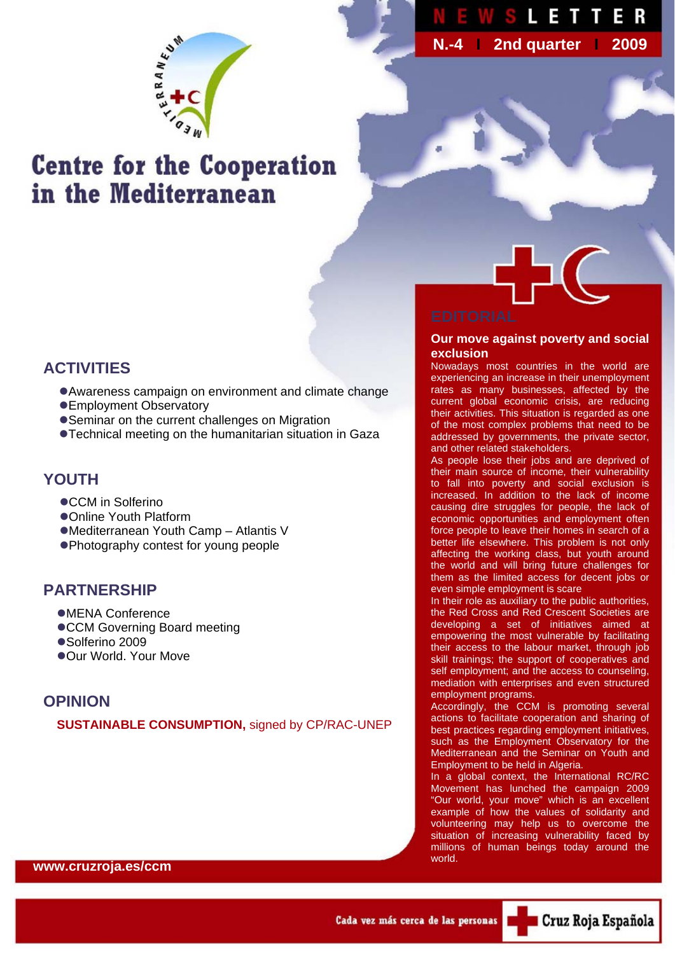

 **N.-4 I 2nd quarter I 2009**

# **Centre for the Cooperation** in the Mediterranean



#### **Our move against poverty and social exclusion**

Nowadays most countries in the world are experiencing an increase in their unemployment rates as many businesses, affected by the current global economic crisis, are reducing their activities. This situation is regarded as one of the most complex problems that need to be addressed by governments, the private sector, and other related stakeholders.

As people lose their jobs and are deprived of their main source of income, their vulnerability to fall into poverty and social exclusion is increased. In addition to the lack of income causing dire struggles for people, the lack of economic opportunities and employment often force people to leave their homes in search of a better life elsewhere. This problem is not only affecting the working class, but youth around the world and will bring future challenges for them as the limited access for decent jobs or even simple employment is scare

In their role as auxiliary to the public authorities, the Red Cross and Red Crescent Societies are developing a set of initiatives aimed at empowering the most vulnerable by facilitating their access to the labour market, through job skill trainings; the support of cooperatives and self employment; and the access to counseling, mediation with enterprises and even structured employment programs.

Accordingly, the CCM is promoting several actions to facilitate cooperation and sharing of best practices regarding employment initiatives, such as the Employment Observatory for the Mediterranean and the Seminar on Youth and Employment to be held in Algeria.

In a global context, the International RC/RC Movement has lunched the campaign 2009 "Our world, your move" which is an excellent example of how the values of solidarity and volunteering may help us to overcome the situation of increasing vulnerability faced by millions of human beings today around the world.

# **ACTIVITIES**

- Awareness campaign on environment and climate change
- ●Employment Observatory
- Seminar on the current challenges on Migration
- **Technical meeting on the humanitarian situation in Gaza**

### **YOUTH**

- ●CCM in Solferino
- zOnline Youth Platform
- ●Mediterranean Youth Camp Atlantis V
- Photography contest for young people

### **PARTNERSHIP**

- **•MENA Conference**
- ●CCM Governing Board meeting
- ●Solferino 2009
- ●Our World. Your Move

# **OPINION**

**SUSTAINABLE CONSUMPTION,** signed by CP/RAC-UNEP

**www.cruzroja.es/ccm**

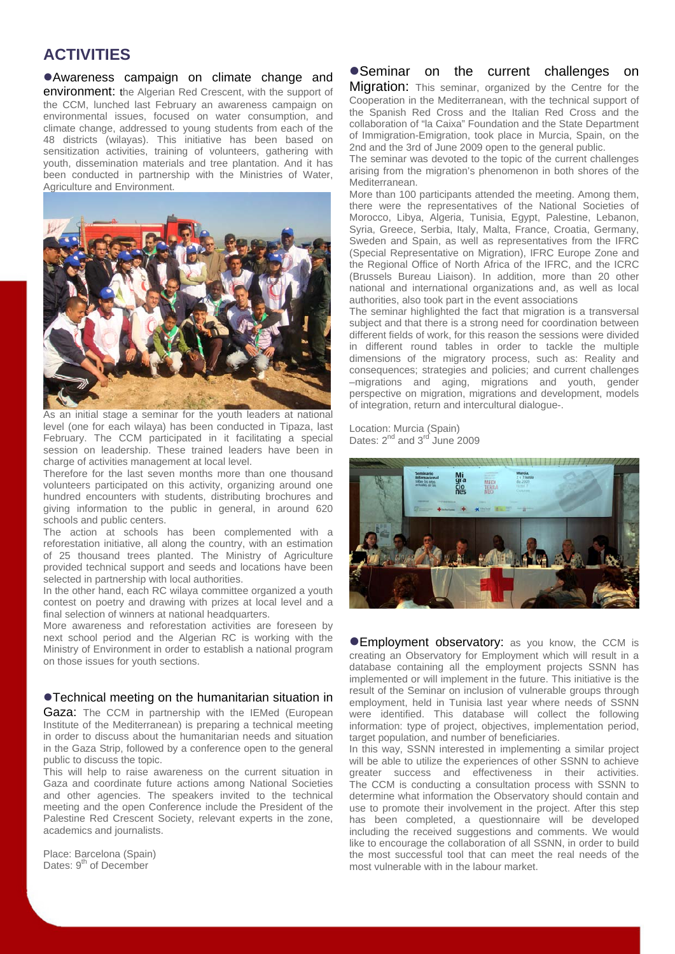### **ACTIVITIES**

**• Awareness campaign on climate change and** environment: the Algerian Red Crescent, with the support of the CCM, lunched last February an awareness campaign on environmental issues, focused on water consumption, and climate change, addressed to young students from each of the 48 districts (wilayas). This initiative has been based on sensitization activities, training of volunteers, gathering with youth, dissemination materials and tree plantation. And it has been conducted in partnership with the Ministries of Water, Agriculture and Environment.



As an initial stage a seminar for the youth leaders at national level (one for each wilaya) has been conducted in Tipaza, last February. The CCM participated in it facilitating a special session on leadership. These trained leaders have been in charge of activities management at local level.

Therefore for the last seven months more than one thousand volunteers participated on this activity, organizing around one hundred encounters with students, distributing brochures and giving information to the public in general, in around 620 schools and public centers.

The action at schools has been complemented with a reforestation initiative, all along the country, with an estimation of 25 thousand trees planted. The Ministry of Agriculture provided technical support and seeds and locations have been selected in partnership with local authorities.

In the other hand, each RC wilaya committee organized a youth contest on poetry and drawing with prizes at local level and a final selection of winners at national headquarters.

More awareness and reforestation activities are foreseen by next school period and the Algerian RC is working with the Ministry of Environment in order to establish a national program on those issues for youth sections.

#### **• Technical meeting on the humanitarian situation in**

Gaza: The CCM in partnership with the IEMed (European Institute of the Mediterranean) is preparing a technical meeting in order to discuss about the humanitarian needs and situation in the Gaza Strip, followed by a conference open to the general public to discuss the topic.

This will help to raise awareness on the current situation in Gaza and coordinate future actions among National Societies and other agencies. The speakers invited to the technical meeting and the open Conference include the President of the Palestine Red Crescent Society, relevant experts in the zone, academics and journalists.

Place: Barcelona (Spain) Dates: 9<sup>th</sup> of December

#### • Seminar on the current challenges on

Migration: This seminar, organized by the Centre for the Cooperation in the Mediterranean, with the technical support of the Spanish Red Cross and the Italian Red Cross and the collaboration of "la Caixa" Foundation and the State Department of Immigration-Emigration, took place in Murcia, Spain, on the 2nd and the 3rd of June 2009 open to the general public.

The seminar was devoted to the topic of the current challenges arising from the migration's phenomenon in both shores of the Mediterranean.

More than 100 participants attended the meeting. Among them, there were the representatives of the National Societies of Morocco, Libya, Algeria, Tunisia, Egypt, Palestine, Lebanon, Syria, Greece, Serbia, Italy, Malta, France, Croatia, Germany, Sweden and Spain, as well as representatives from the IFRC (Special Representative on Migration), IFRC Europe Zone and the Regional Office of North Africa of the IFRC, and the ICRC (Brussels Bureau Liaison). In addition, more than 20 other national and international organizations and, as well as local authorities, also took part in the event associations

The seminar highlighted the fact that migration is a transversal subject and that there is a strong need for coordination between different fields of work, for this reason the sessions were divided in different round tables in order to tackle the multiple dimensions of the migratory process, such as: Reality and consequences; strategies and policies; and current challenges –migrations and aging, migrations and youth, gender perspective on migration, migrations and development, models of integration, return and intercultural dialogue-.

Location: Murcia (Spain) Dates: 2<sup>nd</sup> and 3<sup>rd</sup> June 2009



**• Employment observatory:** as you know, the CCM is creating an Observatory for Employment which will result in a database containing all the employment projects SSNN has implemented or will implement in the future. This initiative is the result of the Seminar on inclusion of vulnerable groups through employment, held in Tunisia last year where needs of SSNN were identified. This database will collect the following information: type of project, objectives, implementation period, target population, and number of beneficiaries.

In this way, SSNN interested in implementing a similar project will be able to utilize the experiences of other SSNN to achieve greater success and effectiveness in their activities. The CCM is conducting a consultation process with SSNN to determine what information the Observatory should contain and use to promote their involvement in the project. After this step has been completed, a questionnaire will be developed including the received suggestions and comments. We would like to encourage the collaboration of all SSNN, in order to build the most successful tool that can meet the real needs of the most vulnerable with in the labour market.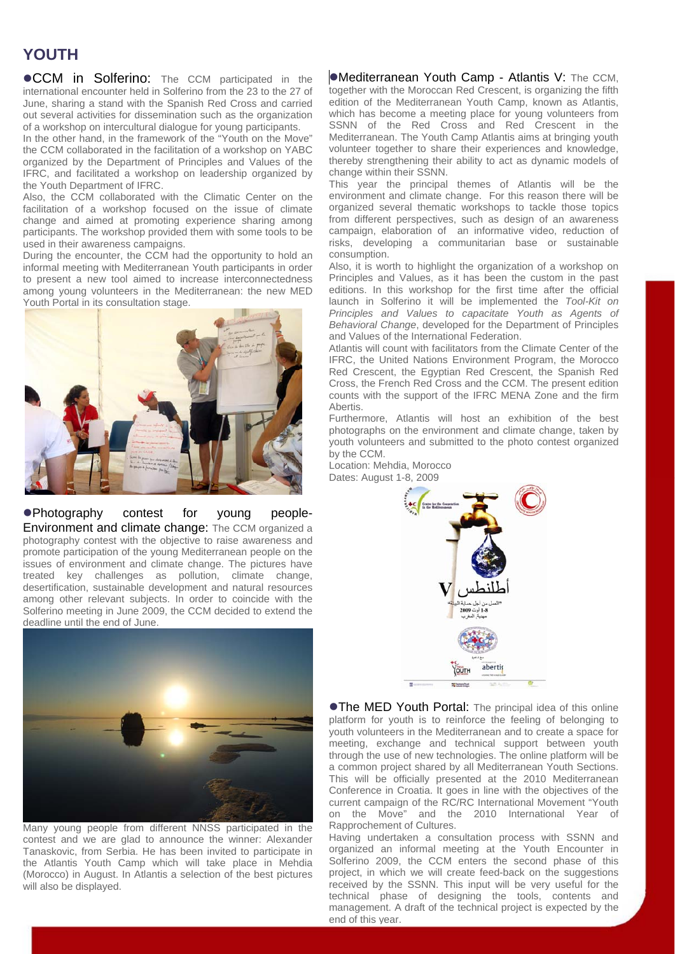# **YOUTH**

**. CCM** in Solferino: The CCM participated in the international encounter held in Solferino from the 23 to the 27 of June, sharing a stand with the Spanish Red Cross and carried out several activities for dissemination such as the organization of a workshop on intercultural dialogue for young participants.

In the other hand, in the framework of the "Youth on the Move" the CCM collaborated in the facilitation of a workshop on YABC organized by the Department of Principles and Values of the IFRC, and facilitated a workshop on leadership organized by the Youth Department of IFRC.

Also, the CCM collaborated with the Climatic Center on the facilitation of a workshop focused on the issue of climate change and aimed at promoting experience sharing among participants. The workshop provided them with some tools to be used in their awareness campaigns.

During the encounter, the CCM had the opportunity to hold an informal meeting with Mediterranean Youth participants in order to present a new tool aimed to increase interconnectedness among young volunteers in the Mediterranean: the new MED Youth Portal in its consultation stage.



• Photography contest for young people-Environment and climate change: The CCM organized a photography contest with the objective to raise awareness and promote participation of the young Mediterranean people on the issues of environment and climate change. The pictures have treated key challenges as pollution, climate change, desertification, sustainable development and natural resources among other relevant subjects. In order to coincide with the Solferino meeting in June 2009, the CCM decided to extend the deadline until the end of June.



Many young people from different NNSS participated in the contest and we are glad to announce the winner: Alexander Tanaskovic, from Serbia. He has been invited to participate in the Atlantis Youth Camp which will take place in Mehdia (Morocco) in August. In Atlantis a selection of the best pictures will also be displayed.

•Mediterranean Youth Camp - Atlantis V: The CCM, together with the Moroccan Red Crescent, is organizing the fifth edition of the Mediterranean Youth Camp, known as Atlantis, which has become a meeting place for young volunteers from SSNN of the Red Cross and Red Crescent in the Mediterranean. The Youth Camp Atlantis aims at bringing youth volunteer together to share their experiences and knowledge, thereby strengthening their ability to act as dynamic models of change within their SSNN.

This year the principal themes of Atlantis will be the environment and climate change. For this reason there will be organized several thematic workshops to tackle those topics from different perspectives, such as design of an awareness campaign, elaboration of an informative video, reduction of risks, developing a communitarian base or sustainable consumption.

Also, it is worth to highlight the organization of a workshop on Principles and Values, as it has been the custom in the past editions. In this workshop for the first time after the official launch in Solferino it will be implemented the *Tool-Kit on Principles and Values to capacitate Youth as Agents of Behavioral Change*, developed for the Department of Principles and Values of the International Federation.

Atlantis will count with facilitators from the Climate Center of the IFRC, the United Nations Environment Program, the Morocco Red Crescent, the Egyptian Red Crescent, the Spanish Red Cross, the French Red Cross and the CCM. The present edition counts with the support of the IFRC MENA Zone and the firm Abertis.

Furthermore, Atlantis will host an exhibition of the best photographs on the environment and climate change, taken by youth volunteers and submitted to the photo contest organized by the CCM.

Location: Mehdia, Morocco Dates: August 1-8, 2009



**• The MED Youth Portal:** The principal idea of this online platform for youth is to reinforce the feeling of belonging to youth volunteers in the Mediterranean and to create a space for meeting, exchange and technical support between youth through the use of new technologies. The online platform will be a common project shared by all Mediterranean Youth Sections. This will be officially presented at the 2010 Mediterranean Conference in Croatia. It goes in line with the objectives of the current campaign of the RC/RC International Movement "Youth on the Move" and the 2010 International Year of Rapprochement of Cultures.

Having undertaken a consultation process with SSNN and organized an informal meeting at the Youth Encounter in Solferino 2009, the CCM enters the second phase of this project, in which we will create feed-back on the suggestions received by the SSNN. This input will be very useful for the technical phase of designing the tools, contents and management. A draft of the technical project is expected by the end of this year.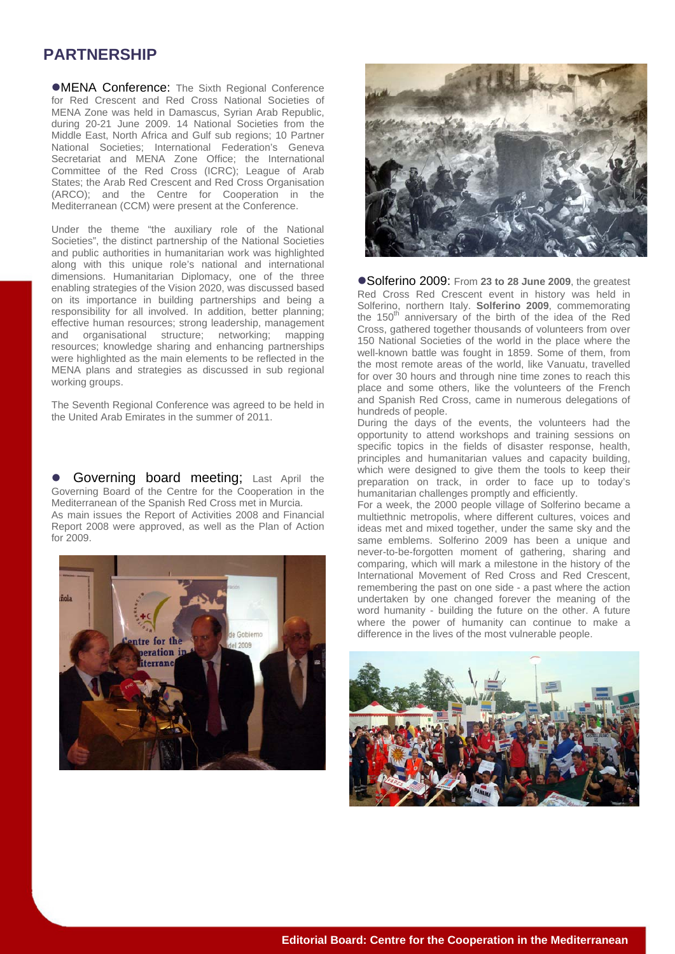## **PARTNERSHIP**

**•MENA Conference:** The Sixth Regional Conference for Red Crescent and Red Cross National Societies of MENA Zone was held in Damascus, Syrian Arab Republic, during 20-21 June 2009. 14 National Societies from the Middle East, North Africa and Gulf sub regions; 10 Partner National Societies; International Federation's Geneva Secretariat and MENA Zone Office; the International Committee of the Red Cross (ICRC); League of Arab States; the Arab Red Crescent and Red Cross Organisation (ARCO); and the Centre for Cooperation in the Mediterranean (CCM) were present at the Conference.

Under the theme "the auxiliary role of the National Societies", the distinct partnership of the National Societies and public authorities in humanitarian work was highlighted along with this unique role's national and international dimensions. Humanitarian Diplomacy, one of the three enabling strategies of the Vision 2020, was discussed based on its importance in building partnerships and being a responsibility for all involved. In addition, better planning; effective human resources; strong leadership, management and organisational structure; networking; mapping resources; knowledge sharing and enhancing partnerships were highlighted as the main elements to be reflected in the MENA plans and strategies as discussed in sub regional working groups.

The Seventh Regional Conference was agreed to be held in the United Arab Emirates in the summer of 2011.

Governing board meeting; Last April the Governing Board of the Centre for the Cooperation in the Mediterranean of the Spanish Red Cross met in Murcia. As main issues the Report of Activities 2008 and Financial Report 2008 were approved, as well as the Plan of Action for 2009.





Solferino 2009: From 23 to 28 June 2009, the greatest Red Cross Red Crescent event in history was held in Solferino, northern Italy. **Solferino 2009**, commemorating the 150<sup>th</sup> anniversary of the birth of the idea of the Red Cross, gathered together thousands of volunteers from over 150 National Societies of the world in the place where the well-known battle was fought in 1859. Some of them, from the most remote areas of the world, like Vanuatu, travelled for over 30 hours and through nine time zones to reach this place and some others, like the volunteers of the French and Spanish Red Cross, came in numerous delegations of hundreds of people.

During the days of the events, the volunteers had the opportunity to attend workshops and training sessions on specific topics in the fields of disaster response, health, principles and humanitarian values and capacity building, which were designed to give them the tools to keep their preparation on track, in order to face up to today's humanitarian challenges promptly and efficiently.

For a week, the 2000 people village of Solferino became a multiethnic metropolis, where different cultures, voices and ideas met and mixed together, under the same sky and the same emblems. Solferino 2009 has been a unique and never-to-be-forgotten moment of gathering, sharing and comparing, which will mark a milestone in the history of the International Movement of Red Cross and Red Crescent, remembering the past on one side - a past where the action undertaken by one changed forever the meaning of the word humanity - building the future on the other. A future where the power of humanity can continue to make a difference in the lives of the most vulnerable people.

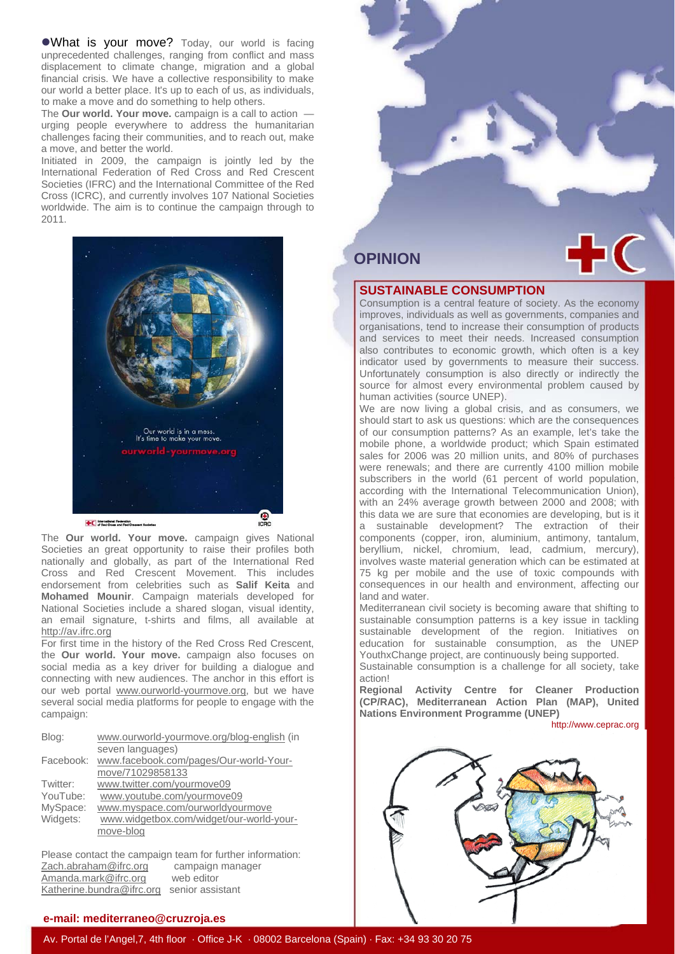. What is your move? Today, our world is facing unprecedented challenges, ranging from conflict and mass displacement to climate change, migration and a global financial crisis. We have a collective responsibility to make our world a better place. It's up to each of us, as individuals, to make a move and do something to help others.

The **Our world. Your move.** campaign is a call to action urging people everywhere to address the humanitarian challenges facing their communities, and to reach out, make a move, and better the world.

Initiated in 2009, the campaign is jointly led by the International Federation of Red Cross and Red Crescent Societies (IFRC) and the International Committee of the Red Cross (ICRC), and currently involves 107 National Societies worldwide. The aim is to continue the campaign through to 2011.



The **Our world. Your move.** campaign gives National Societies an great opportunity to raise their profiles both nationally and globally, as part of the International Red Cross and Red Crescent Movement. This includes endorsement from celebrities such as **Salif Keita** and **Mohamed Mounir**. Campaign materials developed for National Societies include a shared slogan, visual identity, an email signature, t-shirts and films, all available at http://av.ifrc.org

For first time in the history of the Red Cross Red Crescent, the **Our world. Your move.** campaign also focuses on social media as a key driver for building a dialogue and connecting with new audiences. The anchor in this effort is our web portal www.ourworld-yourmove.org, but we have several social media platforms for people to engage with the campaign:

| Blog:     | www.ourworld-yourmove.org/blog-english (in |
|-----------|--------------------------------------------|
|           | seven languages)                           |
| Facebook: | www.facebook.com/pages/Our-world-Your-     |
|           | move/71029858133                           |
| Twitter:  | www.twitter.com/yourmove09                 |
| YouTube:  | www.youtube.com/yourmove09                 |
| MySpace:  | www.myspace.com/ourworldyourmove           |
| Widgets:  | www.widgetbox.com/widget/our-world-your-   |
|           | move-blog                                  |
|           |                                            |

Please contact the campaign team for further information: Zach.abraham@ifrc.org campaign manager Amanda.mark@ifrc.org web editor Katherine.bundra@ifrc.org senior assistant

#### **e-mail: mediterraneo@cruzroja.es**



#### **SUSTAINABLE CONSUMPTION**

Consumption is a central feature of society. As the economy improves, individuals as well as governments, companies and organisations, tend to increase their consumption of products and services to meet their needs. Increased consumption also contributes to economic growth, which often is a key indicator used by governments to measure their success. Unfortunately consumption is also directly or indirectly the source for almost every environmental problem caused by human activities (source UNEP).

We are now living a global crisis, and as consumers, we should start to ask us questions: which are the consequences of our consumption patterns? As an example, let's take the mobile phone, a worldwide product; which Spain estimated sales for 2006 was 20 million units, and 80% of purchases were renewals; and there are currently 4100 million mobile subscribers in the world (61 percent of world population, according with the International Telecommunication Union), with an 24% average growth between 2000 and 2008; with this data we are sure that economies are developing, but is it a sustainable development? The extraction of their components (copper, iron, aluminium, antimony, tantalum, beryllium, nickel, chromium, lead, cadmium, mercury), involves waste material generation which can be estimated at 75 kg per mobile and the use of toxic compounds with consequences in our health and environment, affecting our land and water.

Mediterranean civil society is becoming aware that shifting to sustainable consumption patterns is a key issue in tackling sustainable development of the region. Initiatives on education for sustainable consumption, as the UNEP YouthxChange project, are continuously being supported.

Sustainable consumption is a challenge for all society, take action!

**Regional Activity Centre for Cleaner Production (CP/RAC), Mediterranean Action Plan (MAP), United Nations Environment Programme (UNEP)** 

http://www.ceprac.org